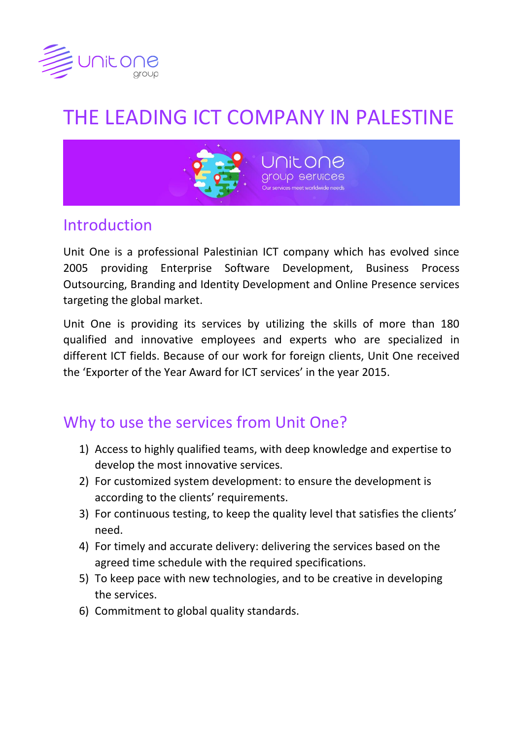

# THE LEADING ICT COMPANY IN PALESTINE



### Introduction

Unit One is a professional Palestinian ICT company which has evolved since 2005 providing Enterprise Software Development, Business Process Outsourcing, Branding and Identity Development and Online Presence services targeting the global market.

Unit One is providing its services by utilizing the skills of more than 180 qualified and innovative employees and experts who are specialized in different ICT fields. Because of our work for foreign clients, Unit One received the 'Exporter of the Year Award for ICT services' in the year 2015.

# Why to use the services from Unit One?

- 1) Access to highly qualified teams, with deep knowledge and expertise to develop the most innovative services.
- 2) For customized system development: to ensure the development is according to the clients' requirements.
- 3) For continuous testing, to keep the quality level that satisfies the clients' need.
- 4) For timely and accurate delivery: delivering the services based on the agreed time schedule with the required specifications.
- 5) To keep pace with new technologies, and to be creative in developing the services.
- 6) Commitment to global quality standards.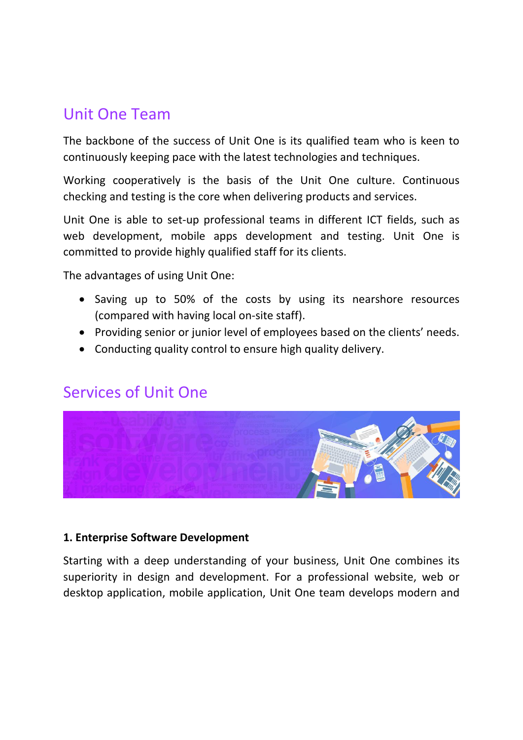# Unit One Team

The backbone of the success of Unit One is its qualified team who is keen to continuously keeping pace with the latest technologies and techniques.

Working cooperatively is the basis of the Unit One culture. Continuous checking and testing is the core when delivering products and services.

Unit One is able to set-up professional teams in different ICT fields, such as web development, mobile apps development and testing. Unit One is committed to provide highly qualified staff for its clients.

The advantages of using Unit One:

- Saving up to 50% of the costs by using its nearshore resources (compared with having local on-site staff).
- Providing senior or junior level of employees based on the clients' needs.
- Conducting quality control to ensure high quality delivery.

# Services of Unit One



#### **1. Enterprise Software Development**

Starting with a deep understanding of your business, Unit One combines its superiority in design and development. For a professional website, web or desktop application, mobile application, Unit One team develops modern and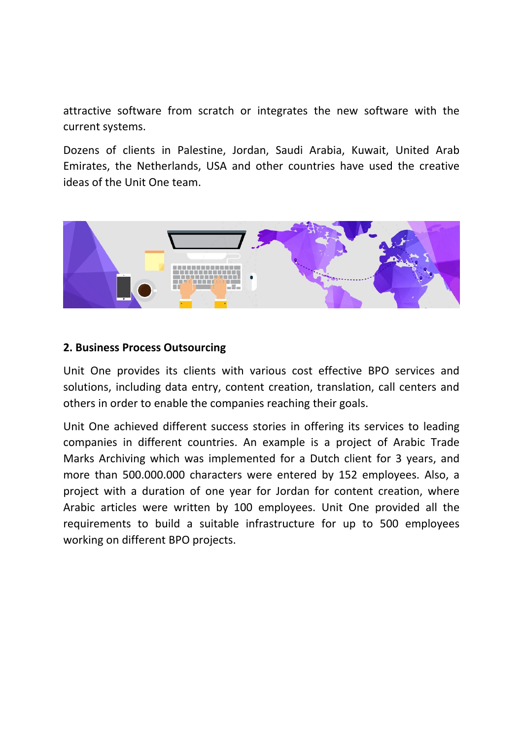attractive software from scratch or integrates the new software with the current systems.

Dozens of clients in Palestine, Jordan, Saudi Arabia, Kuwait, United Arab Emirates, the Netherlands, USA and other countries have used the creative ideas of the Unit One team.



#### **2. Business Process Outsourcing**

Unit One provides its clients with various cost effective BPO services and solutions, including data entry, content creation, translation, call centers and others in order to enable the companies reaching their goals.

Unit One achieved different success stories in offering its services to leading companies in different countries. An example is a project of Arabic Trade Marks Archiving which was implemented for a Dutch client for 3 years, and more than 500.000.000 characters were entered by 152 employees. Also, a project with a duration of one year for Jordan for content creation, where Arabic articles were written by 100 employees. Unit One provided all the requirements to build a suitable infrastructure for up to 500 employees working on different BPO projects.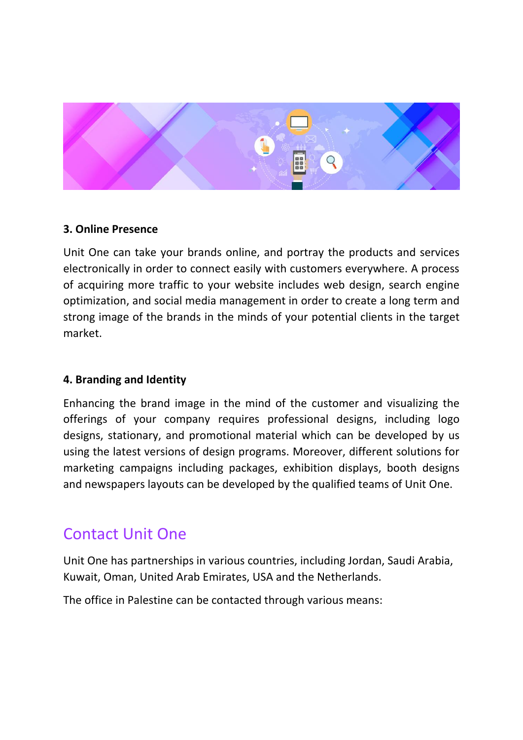

#### **3. Online Presence**

Unit One can take your brands online, and portray the products and services electronically in order to connect easily with customers everywhere. A process of acquiring more traffic to your website includes web design, search engine optimization, and social media management in order to create a long term and strong image of the brands in the minds of your potential clients in the target market.

#### **4. Branding and Identity**

Enhancing the brand image in the mind of the customer and visualizing the offerings of your company requires professional designs, including logo designs, stationary, and promotional material which can be developed by us using the latest versions of design programs. Moreover, different solutions for marketing campaigns including packages, exhibition displays, booth designs and newspapers layouts can be developed by the qualified teams of Unit One.

### Contact Unit One

Unit One has partnerships in various countries, including Jordan, Saudi Arabia, Kuwait, Oman, United Arab Emirates, USA and the Netherlands.

The office in Palestine can be contacted through various means: